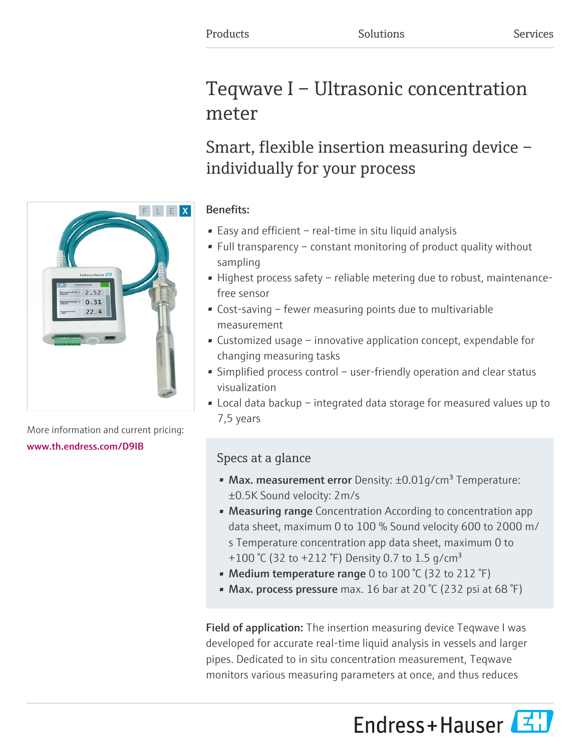# Teqwave I – Ultrasonic concentration meter

# Smart, flexible insertion measuring device – individually for your process

## Benefits:

- Easy and efficient real-time in situ liquid analysis
- Full transparency constant monitoring of product quality without sampling
- Highest process safety reliable metering due to robust, maintenancefree sensor
- Cost-saving fewer measuring points due to multivariable measurement
- Customized usage innovative application concept, expendable for changing measuring tasks
- Simplified process control user-friendly operation and clear status visualization
- Local data backup integrated data storage for measured values up to 7,5 years

# Specs at a glance

- Max. measurement error Density:  $\pm 0.01$  g/cm<sup>3</sup> Temperature: ±0.5K Sound velocity: 2m/s
- Measuring range Concentration According to concentration app data sheet, maximum 0 to 100 % Sound velocity 600 to 2000 m/ s Temperature concentration app data sheet, maximum 0 to +100 °C (32 to +212 °F) Density 0.7 to 1.5 g/cm<sup>3</sup>
- Medium temperature range 0 to 100 °C (32 to 212 °F)
- Max. process pressure max. 16 bar at 20 °C (232 psi at 68 °F)

Field of application: The insertion measuring device Teqwave I was developed for accurate real-time liquid analysis in vessels and larger pipes. Dedicated to in situ concentration measurement, Teqwave monitors various measuring parameters at once, and thus reduces





More information and current pricing: [www.th.endress.com/D9IB](https://www.th.endress.com/D9IB)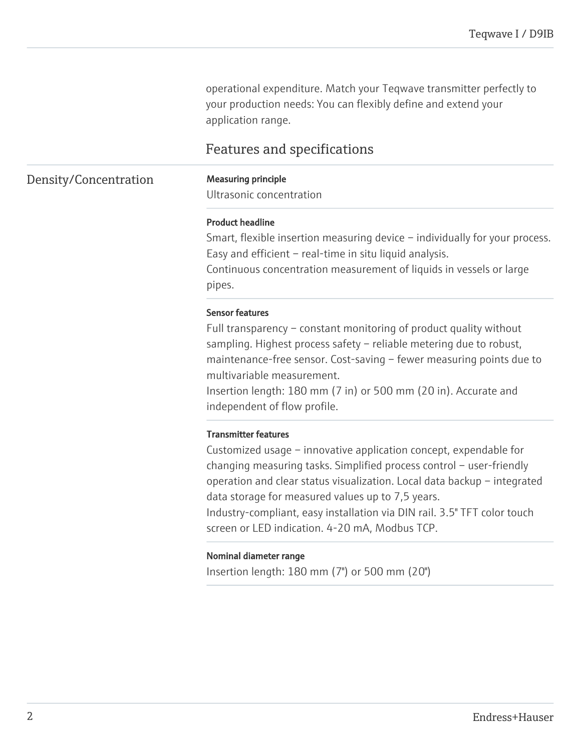operational expenditure. Match your Teqwave transmitter perfectly to your production needs: You can flexibly define and extend your application range.

# Features and specifications

### Density/Concentration Measuring principle

Ultrasonic concentration

#### Product headline

Smart, flexible insertion measuring device – individually for your process. Easy and efficient – real-time in situ liquid analysis. Continuous concentration measurement of liquids in vessels or large pipes.

#### Sensor features

Full transparency – constant monitoring of product quality without sampling. Highest process safety – reliable metering due to robust, maintenance-free sensor. Cost-saving – fewer measuring points due to multivariable measurement.

Insertion length: 180 mm (7 in) or 500 mm (20 in). Accurate and independent of flow profile.

#### Transmitter features

Customized usage – innovative application concept, expendable for changing measuring tasks. Simplified process control – user-friendly operation and clear status visualization. Local data backup – integrated data storage for measured values up to 7,5 years.

Industry-compliant, easy installation via DIN rail. 3.5" TFT color touch screen or LED indication. 4-20 mA, Modbus TCP.

#### Nominal diameter range

Insertion length: 180 mm (7") or 500 mm (20")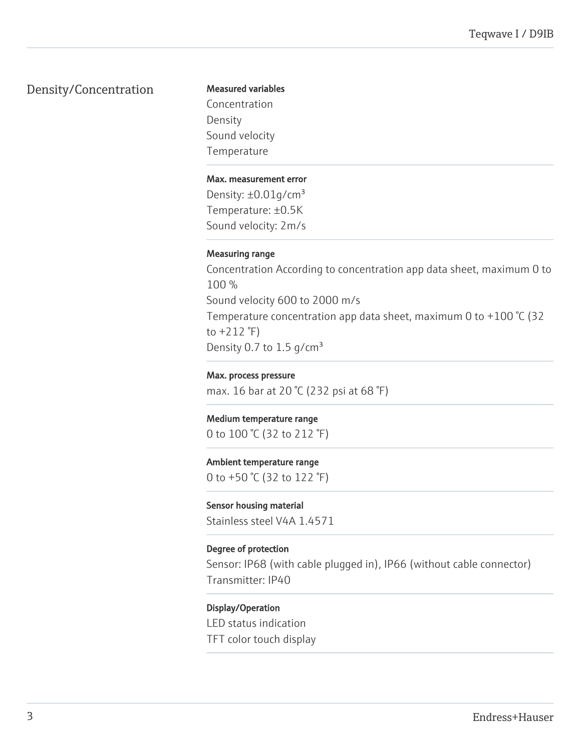## Density/Concentration

#### Measured variables

Concentration Density Sound velocity Temperature

#### Max. measurement error

Density:  $\pm 0.01$ g/cm<sup>3</sup> Temperature: ±0.5K Sound velocity: 2m/s

#### Measuring range

Concentration According to concentration app data sheet, maximum 0 to 100 % Sound velocity 600 to 2000 m/s Temperature concentration app data sheet, maximum 0 to +100 °C (32 to  $+212$   $\degree$ F) Density 0.7 to 1.5  $g/cm<sup>3</sup>$ 

### Max. process pressure

max. 16 bar at 20 °C (232 psi at 68 °F)

#### Medium temperature range 0 to 100 °C (32 to 212 °F)

Ambient temperature range 0 to +50 °C (32 to 122 °F)

### Sensor housing material

Stainless steel V4A 1.4571

#### Degree of protection

Sensor: IP68 (with cable plugged in), IP66 (without cable connector) Transmitter: IP40

#### Display/Operation

LED status indication TFT color touch display